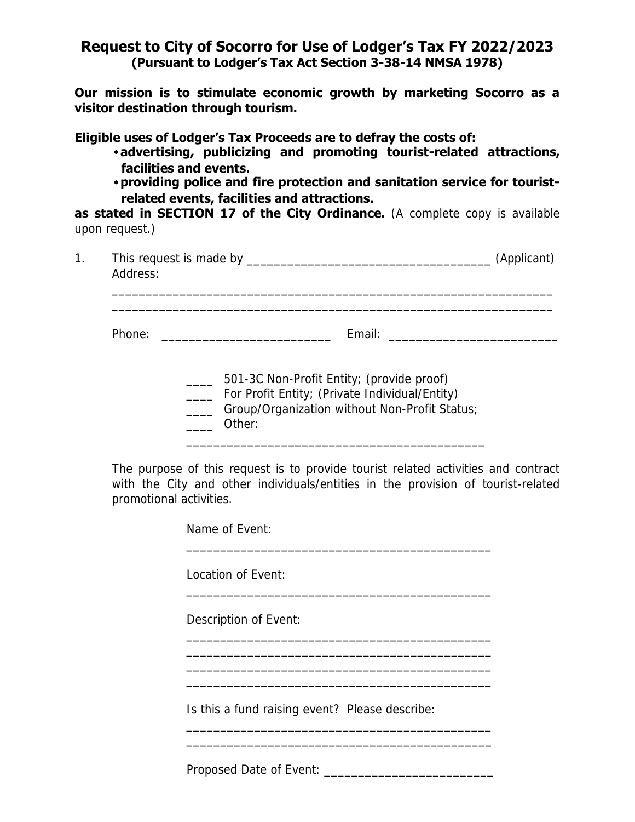## **Request to City of Socorro for Use of Lodger's Tax FY 2022/2023 (Pursuant to Lodger's Tax Act Section 3-38-14 NMSA 1978)**

**Our mission is to stimulate economic growth by marketing Socorro as a visitor destination through tourism.** 

**Eligible uses of Lodger's Tax Proceeds are to defray the costs of:** 

- •**advertising, publicizing and promoting tourist-related attractions, facilities and events.**
- •**providing police and fire protection and sanitation service for touristrelated events, facilities and attractions.**

**as stated in SECTION 17 of the City Ordinance.** (A complete copy is available upon request.)

| Address: | (Applicant)                                                                         |  |
|----------|-------------------------------------------------------------------------------------|--|
| Phone:   | Email: <u>________________________</u><br><u> 2001 - Jan Barnett, mars et al. (</u> |  |
|          | 501-3C Non-Profit Entity; (provide proof)                                           |  |

\_\_\_\_ For Profit Entity; (Private Individual/Entity)

\_\_\_\_ Group/Organization without Non-Profit Status;

\_\_\_\_\_\_\_\_\_\_\_\_\_\_\_\_\_\_\_\_\_\_\_\_\_\_\_\_\_\_\_\_\_\_\_\_\_\_\_\_\_\_\_\_

\_\_\_\_ Other:

The purpose of this request is to provide tourist related activities and contract with the City and other individuals/entities in the provision of tourist-related promotional activities.

> Name of Event: \_\_\_\_\_\_\_\_\_\_\_\_\_\_\_\_\_\_\_\_\_\_\_\_\_\_\_\_\_\_\_\_\_\_\_\_\_\_\_\_\_\_\_\_\_ Location of Event: \_\_\_\_\_\_\_\_\_\_\_\_\_\_\_\_\_\_\_\_\_\_\_\_\_\_\_\_\_\_\_\_\_\_\_\_\_\_\_\_\_\_\_\_\_ Description of Event: \_\_\_\_\_\_\_\_\_\_\_\_\_\_\_\_\_\_\_\_\_\_\_\_\_\_\_\_\_\_\_\_\_\_\_\_\_\_\_\_\_\_\_\_\_ \_\_\_\_\_\_\_\_\_\_\_\_\_\_\_\_\_\_\_\_\_\_\_\_\_\_\_\_\_\_\_\_\_\_\_\_\_\_\_\_\_\_\_\_\_ \_\_\_\_\_\_\_\_\_\_\_\_\_\_\_\_\_\_\_\_\_\_\_\_\_\_\_\_\_\_\_\_\_\_\_\_\_\_\_\_\_\_\_\_\_ \_\_\_\_\_\_\_\_\_\_\_\_\_\_\_\_\_\_\_\_\_\_\_\_\_\_\_\_\_\_\_\_\_\_\_\_\_\_\_\_\_\_\_\_\_ Is this a fund raising event? Please describe: \_\_\_\_\_\_\_\_\_\_\_\_\_\_\_\_\_\_\_\_\_\_\_\_\_\_\_\_\_\_\_\_\_\_\_\_\_\_\_\_\_\_\_\_\_ \_\_\_\_\_\_\_\_\_\_\_\_\_\_\_\_\_\_\_\_\_\_\_\_\_\_\_\_\_\_\_\_\_\_\_\_\_\_\_\_\_\_\_\_\_

Proposed Date of Event: \_\_\_\_\_\_\_\_\_\_\_\_\_\_\_\_\_\_\_\_\_\_\_\_\_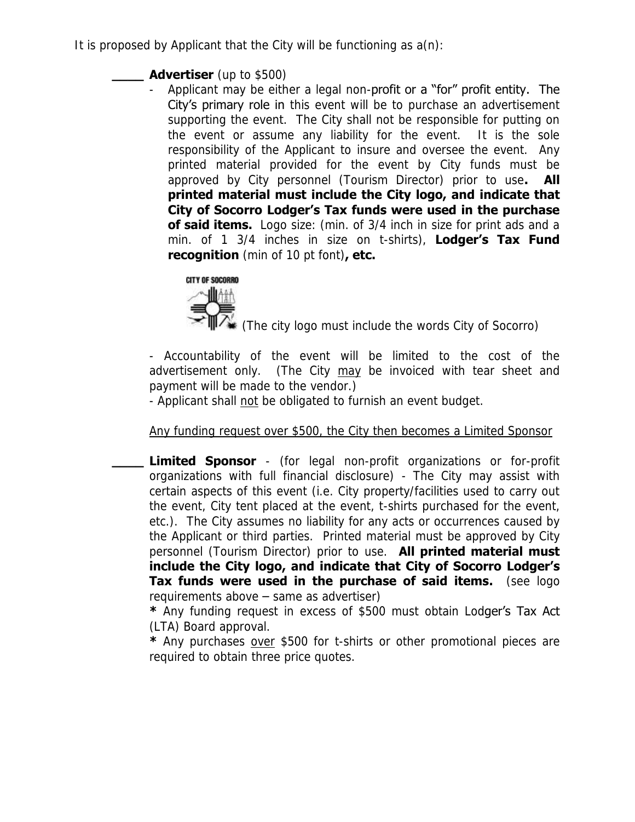It is proposed by Applicant that the City will be functioning as  $a(n)$ :

# **\_\_\_\_ Advertiser** (up to \$500)

Applicant may be either a legal non-profit or a "for" profit entity. The City's primary role in this event will be to purchase an advertisement supporting the event. The City shall not be responsible for putting on the event or assume any liability for the event. It is the sole responsibility of the Applicant to insure and oversee the event. Any printed material provided for the event by City funds must be approved by City personnel (Tourism Director) prior to use**. All printed material must include the City logo, and indicate that City of Socorro Lodger's Tax funds were used in the purchase of said items.** Logo size: (min. of 3/4 inch in size for print ads and a min. of 1 3/4 inches in size on t-shirts), **Lodger's Tax Fund recognition** (min of 10 pt font)**, etc.**



(The city logo must include the words City of Socorro)

- Accountability of the event will be limited to the cost of the advertisement only. (The City may be invoiced with tear sheet and payment will be made to the vendor.)

- Applicant shall not be obligated to furnish an event budget.

# Any funding request over \$500, the City then becomes a Limited Sponsor

**Limited Sponsor** - (for legal non-profit organizations or for-profit organizations with full financial disclosure) - The City may assist with certain aspects of this event (i.e. City property/facilities used to carry out the event, City tent placed at the event, t-shirts purchased for the event, etc.). The City assumes no liability for any acts or occurrences caused by the Applicant or third parties. Printed material must be approved by City personnel (Tourism Director) prior to use. **All printed material must include the City logo, and indicate that City of Socorro Lodger's Tax funds were used in the purchase of said items.** (see logo requirements above – same as advertiser)

**\*** Any funding request in excess of \$500 must obtain Lodger's Tax Act (LTA) Board approval.

**\*** Any purchases over \$500 for t-shirts or other promotional pieces are required to obtain three price quotes.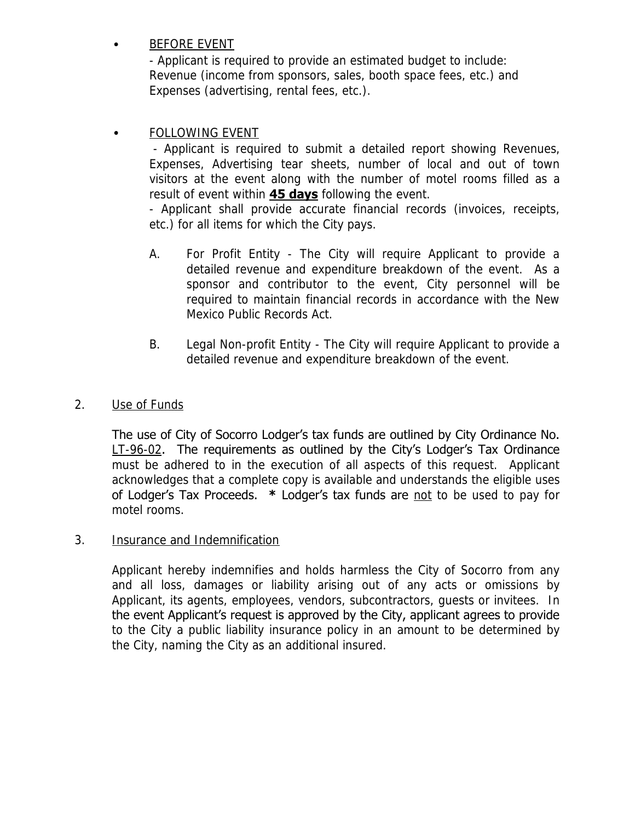# • BEFORE EVENT

- Applicant is required to provide an estimated budget to include: Revenue (income from sponsors, sales, booth space fees, etc.) and Expenses (advertising, rental fees, etc.).

# FOLLOWING EVENT

- Applicant is required to submit a detailed report showing Revenues, Expenses, Advertising tear sheets, number of local and out of town visitors at the event along with the number of motel rooms filled as a result of event within **45 days** following the event.

- Applicant shall provide accurate financial records (invoices, receipts, etc.) for all items for which the City pays.

- A. For Profit Entity The City will require Applicant to provide a detailed revenue and expenditure breakdown of the event. As a sponsor and contributor to the event, City personnel will be required to maintain financial records in accordance with the New Mexico Public Records Act.
- B. Legal Non-profit Entity The City will require Applicant to provide a detailed revenue and expenditure breakdown of the event.

#### 2. Use of Funds

The use of City of Socorro Lodger's tax funds are outlined by City Ordinance No.  $LT-96-02$ . The requirements as outlined by the City's Lodger's Tax Ordinance must be adhered to in the execution of all aspects of this request. Applicant acknowledges that a complete copy is available and understands the eligible uses of Lodger's Tax Proceeds. **\*** Lodger's tax funds are not to be used to pay for motel rooms.

#### 3. Insurance and Indemnification

Applicant hereby indemnifies and holds harmless the City of Socorro from any and all loss, damages or liability arising out of any acts or omissions by Applicant, its agents, employees, vendors, subcontractors, guests or invitees. In the event Applicant's request is approved by the City, applicant agrees to provide to the City a public liability insurance policy in an amount to be determined by the City, naming the City as an additional insured.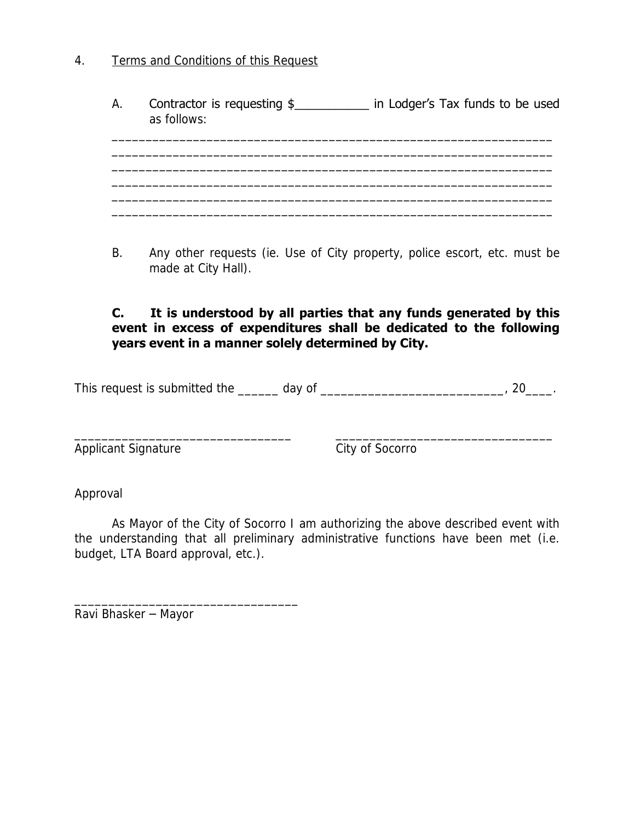4. Terms and Conditions of this Request

| А. | Contractor is requesting \$<br>as follows: | in Lodger's Tax funds to be used |
|----|--------------------------------------------|----------------------------------|
|    |                                            |                                  |
|    |                                            |                                  |
|    |                                            |                                  |

B. Any other requests (ie. Use of City property, police escort, etc. must be made at City Hall).

#### **C. It is understood by all parties that any funds generated by this event in excess of expenditures shall be dedicated to the following years event in a manner solely determined by City.**

| This request is submitted the | day o* |  |
|-------------------------------|--------|--|
|                               |        |  |

\_\_\_\_\_\_\_\_\_\_\_\_\_\_\_\_\_\_\_\_\_\_\_\_\_\_\_\_\_\_\_\_ \_\_\_\_\_\_\_\_\_\_\_\_\_\_\_\_\_\_\_\_\_\_\_\_\_\_\_\_\_\_\_\_

Applicant Signature City of Socorro

Approval

As Mayor of the City of Socorro I am authorizing the above described event with the understanding that all preliminary administrative functions have been met (i.e. budget, LTA Board approval, etc.).

Ravi Bhasker – Mayor

\_\_\_\_\_\_\_\_\_\_\_\_\_\_\_\_\_\_\_\_\_\_\_\_\_\_\_\_\_\_\_\_\_